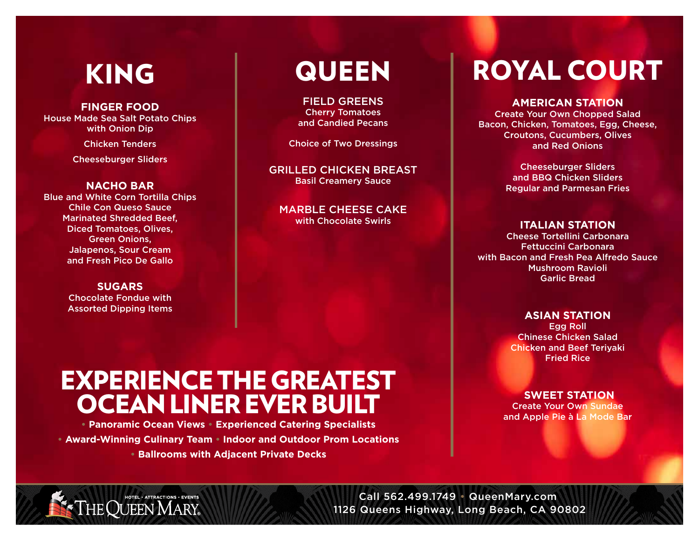## KING

#### **FINGER FOOD** House Made Sea Salt Potato Chips with Onion Dip

Chicken Tenders

Cheeseburger Sliders

#### **NACHO BAR**

Blue and White Corn Tortilla Chips Chile Con Queso Sauce Marinated Shredded Beef, Diced Tomatoes, Olives, Green Onions, Jalapenos, Sour Cream and Fresh Pico De Gallo

#### **SUGARS** Chocolate Fondue with Assorted Dipping Items

## **QUEEN**

FIELD GREENS Cherry Tomatoes and Candied Pecans

Choice of Two Dressings

GRILLED CHICKEN BREAST Basil Creamery Sauce

MARBLE CHEESE CAKE with Chocolate Swirls

# ROYAL COURT

#### **AMERICAN STATION**

Create Your Own Chopped Salad Bacon, Chicken, Tomatoes, Egg, Cheese, Croutons, Cucumbers, Olives and Red Onions

> Cheeseburger Sliders and BBQ Chicken Sliders Regular and Parmesan Fries

#### **ITALIAN STATION**

Cheese Tortellini Carbonara Fettuccini Carbonara with Bacon and Fresh Pea Alfredo Sauce Mushroom Ravioli Garlic Bread

#### **ASIAN STATION**

Egg Roll Chinese Chicken Salad Chicken and Beef Teriyaki Fried Rice

#### **SWEET STATION**

Create Your Own Sundae and Apple Pie à La Mode Bar

### EXPERIENCE THE GREATEST OCEAN LINER EVER BUILT

**• Panoramic Ocean Views • Experienced Catering Specialists • Award-Winning Culinary Team • Indoor and Outdoor Prom Locations • Ballrooms with Adjacent Private Decks**

HOTEL . ATTRACTIONS . EVENTS

Call 562.499.1749 • QueenMary.com 1126 Queens Highway, Long Beach, CA 90802